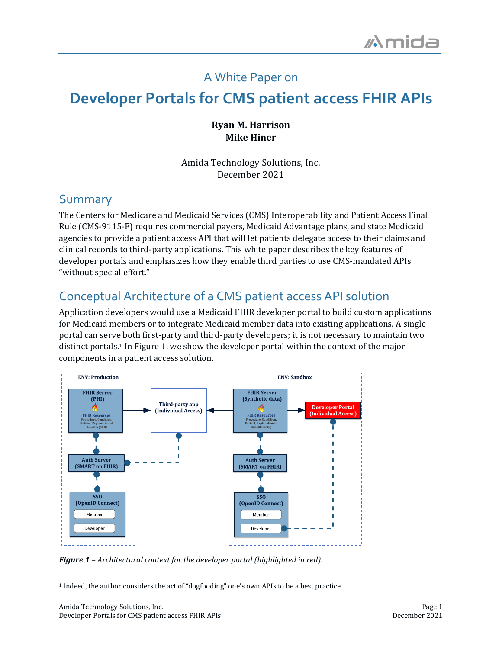### A White Paper on

# **Developer Portals for CMS patient access FHIR APIs**

#### **Ryan M. Harrison Mike Hiner**

Amida Technology Solutions, Inc. December 2021

### Summary

The Centers for Medicare and Medicaid Services (CMS) Interoperability and Patient Access Final Rule (CMS-9115-F) requires commercial payers, Medicaid Advantage plans, and state Medicaid agencies to provide a patient access API that will let patients delegate access to their claims and clinical records to third-party applications. This white paper describes the key features of developer portals and emphasizes how they enable third parties to use CMS-mandated APIs "without special effort."

## Conceptual Architecture of a CMS patient access API solution

Application developers would use a Medicaid FHIR developer portal to build custom applications for Medicaid members or to integrate Medicaid member data into existing applications. A single portal can serve both first-party and third-party developers; it is not necessary to maintain two distinct portals.<sup>1</sup> In Figure 1, we show the developer portal within the context of the major components in a patient access solution.



**Figure 1** – Architectural context for the developer portal (highlighted in red).

<sup>1</sup> Indeed, the author considers the act of "dogfooding" one's own APIs to be a best practice.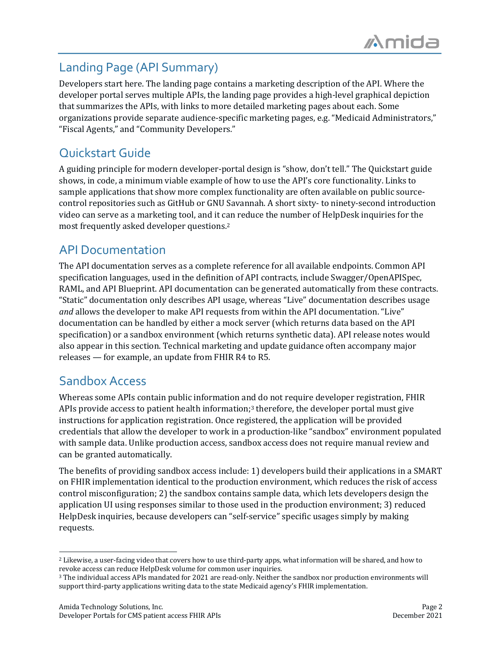## Landing Page (API Summary)

Developers start here. The landing page contains a marketing description of the API. Where the developer portal serves multiple APIs, the landing page provides a high-level graphical depiction that summarizes the APIs, with links to more detailed marketing pages about each. Some organizations provide separate audience-specific marketing pages, e.g. "Medicaid Administrators," "Fiscal Agents," and "Community Developers."

## Quickstart Guide

A guiding principle for modern developer-portal design is "show, don't tell." The Quickstart guide shows, in code, a minimum viable example of how to use the API's core functionality. Links to sample applications that show more complex functionality are often available on public sourcecontrol repositories such as GitHub or GNU Savannah. A short sixty- to ninety-second introduction video can serve as a marketing tool, and it can reduce the number of HelpDesk inquiries for the most frequently asked developer questions.<sup>2</sup>

## API Documentation

The API documentation serves as a complete reference for all available endpoints. Common API specification languages, used in the definition of API contracts, include Swagger/OpenAPISpec, RAML, and API Blueprint. API documentation can be generated automatically from these contracts. "Static" documentation only describes API usage, whereas "Live" documentation describes usage *and* allows the developer to make API requests from within the API documentation. "Live" documentation can be handled by either a mock server (which returns data based on the API specification) or a sandbox environment (which returns synthetic data). API release notes would also appear in this section. Technical marketing and update guidance often accompany major releases  $-$  for example, an update from FHIR R4 to R5.

### Sandbox Access

Whereas some APIs contain public information and do not require developer registration, FHIR APIs provide access to patient health information;<sup>3</sup> therefore, the developer portal must give instructions for application registration. Once registered, the application will be provided credentials that allow the developer to work in a production-like "sandbox" environment populated with sample data. Unlike production access, sandbox access does not require manual review and can be granted automatically.

The benefits of providing sandbox access include: 1) developers build their applications in a SMART on FHIR implementation identical to the production environment, which reduces the risk of access control misconfiguration; 2) the sandbox contains sample data, which lets developers design the application UI using responses similar to those used in the production environment; 3) reduced HelpDesk inquiries, because developers can "self-service" specific usages simply by making requests.

<sup>&</sup>lt;sup>2</sup> Likewise, a user-facing video that covers how to use third-party apps, what information will be shared, and how to revoke access can reduce HelpDesk volume for common user inquiries.

<sup>&</sup>lt;sup>3</sup> The individual access APIs mandated for 2021 are read-only. Neither the sandbox nor production environments will support third-party applications writing data to the state Medicaid agency's FHIR implementation.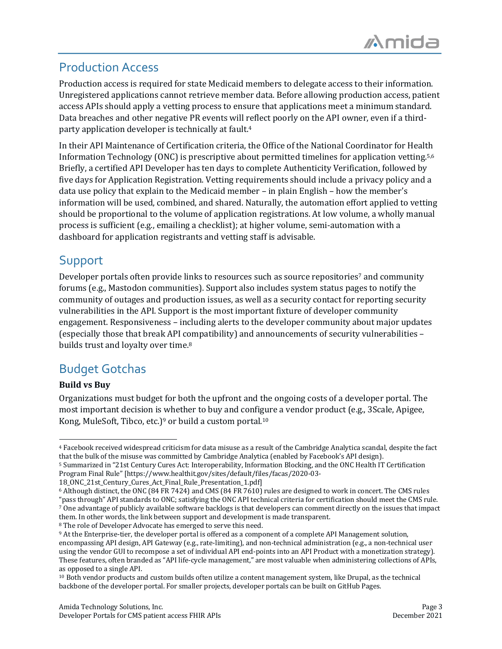## Production Access

Production access is required for state Medicaid members to delegate access to their information. Unregistered applications cannot retrieve member data. Before allowing production access, patient access APIs should apply a vetting process to ensure that applications meet a minimum standard. Data breaches and other negative PR events will reflect poorly on the API owner, even if a thirdparty application developer is technically at fault.<sup>4</sup>

In their API Maintenance of Certification criteria, the Office of the National Coordinator for Health Information Technology (ONC) is prescriptive about permitted timelines for application vetting.<sup>5,6</sup> Briefly, a certified API Developer has ten days to complete Authenticity Verification, followed by five days for Application Registration. Vetting requirements should include a privacy policy and a data use policy that explain to the Medicaid member – in plain English – how the member's information will be used, combined, and shared. Naturally, the automation effort applied to vetting should be proportional to the volume of application registrations. At low volume, a wholly manual process is sufficient (e.g., emailing a checklist); at higher volume, semi-automation with a dashboard for application registrants and vetting staff is advisable.

## Support

Developer portals often provide links to resources such as source repositories<sup>7</sup> and community forums (e.g., Mastodon communities). Support also includes system status pages to notify the community of outages and production issues, as well as a security contact for reporting security vulnerabilities in the API. Support is the most important fixture of developer community engagement. Responsiveness – including alerts to the developer community about major updates (especially those that break API compatibility) and announcements of security vulnerabilities builds trust and loyalty over time.<sup>8</sup>

## Budget Gotchas

#### **Build** vs Buv

Organizations must budget for both the upfront and the ongoing costs of a developer portal. The most important decision is whether to buy and configure a vendor product (e.g., 3Scale, Apigee, Kong, MuleSoft, Tibco, etc.)<sup>9</sup> or build a custom portal.<sup>10</sup>

18\_ONC\_21st\_Century\_Cures\_Act\_Final\_Rule\_Presentation\_1.pdf]

<sup>8</sup> The role of Developer Advocate has emerged to serve this need.

<sup>&</sup>lt;sup>4</sup> Facebook received widespread criticism for data misuse as a result of the Cambridge Analytica scandal, despite the fact that the bulk of the misuse was committed by Cambridge Analytica (enabled by Facebook's API design).

<sup>&</sup>lt;sup>5</sup> Summarized in "21st Century Cures Act: Interoperability, Information Blocking, and the ONC Health IT Certification Program Final Rule" [https://www.healthit.gov/sites/default/files/facas/2020-03-

 $6$  Although distinct, the ONC (84 FR 7424) and CMS (84 FR 7610) rules are designed to work in concert. The CMS rules "pass through" API standards to ONC; satisfying the ONC API technical criteria for certification should meet the CMS rule.

<sup>7</sup> One advantage of publicly available software backlogs is that developers can comment directly on the issues that impact them. In other words, the link between support and development is made transparent.

<sup>&</sup>lt;sup>9</sup> At the Enterprise-tier, the developer portal is offered as a component of a complete API Management solution, encompassing API design, API Gateway (e.g., rate-limiting), and non-technical administration (e.g., a non-technical user using the vendor GUI to recompose a set of individual API end-points into an API Product with a monetization strategy). These features, often branded as "API life-cycle management," are most valuable when administering collections of APIs, as opposed to a single API.

<sup>&</sup>lt;sup>10</sup> Both vendor products and custom builds often utilize a content management system, like Drupal, as the technical backbone of the developer portal. For smaller projects, developer portals can be built on GitHub Pages.